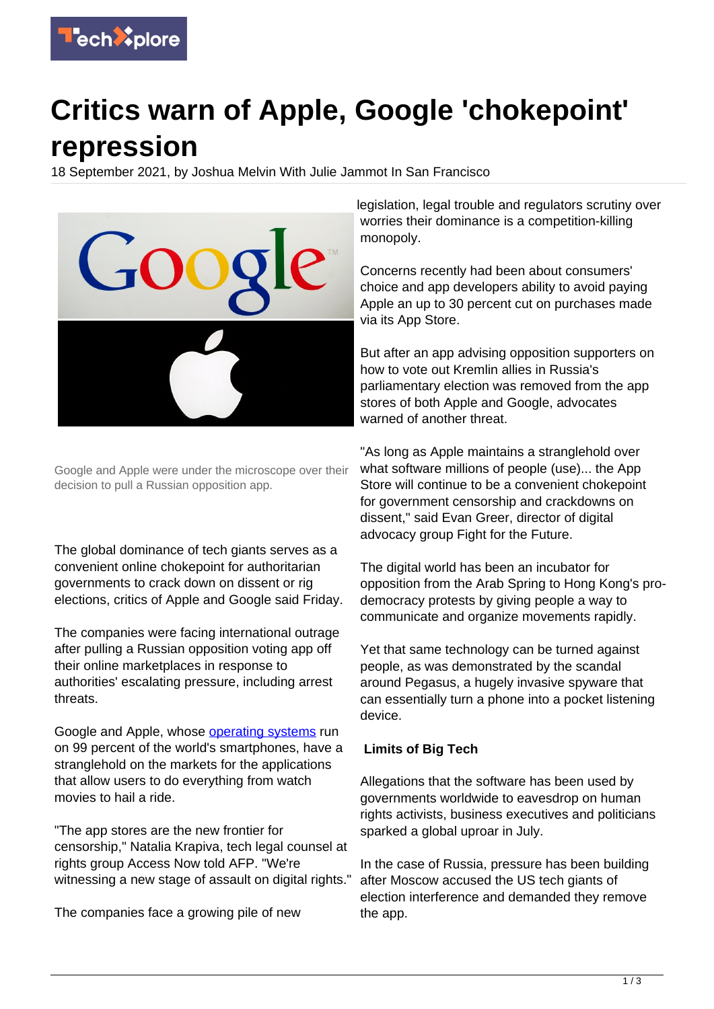

## **Critics warn of Apple, Google 'chokepoint' repression**

18 September 2021, by Joshua Melvin With Julie Jammot In San Francisco



Google and Apple were under the microscope over their decision to pull a Russian opposition app.

The global dominance of tech giants serves as a convenient online chokepoint for authoritarian governments to crack down on dissent or rig elections, critics of Apple and Google said Friday.

The companies were facing international outrage after pulling a Russian opposition voting app off their online marketplaces in response to authorities' escalating pressure, including arrest threats.

Google and Apple, whose **operating systems** run on 99 percent of the world's smartphones, have a stranglehold on the markets for the applications that allow users to do everything from watch movies to hail a ride.

"The app stores are the new frontier for censorship," Natalia Krapiva, tech legal counsel at rights group Access Now told AFP. "We're witnessing a new stage of assault on digital rights."

The companies face a growing pile of new

legislation, legal trouble and regulators scrutiny over worries their dominance is a competition-killing monopoly.

Concerns recently had been about consumers' choice and app developers ability to avoid paying Apple an up to 30 percent cut on purchases made via its App Store.

But after an app advising opposition supporters on how to vote out Kremlin allies in Russia's parliamentary election was removed from the app stores of both Apple and Google, advocates warned of another threat.

"As long as Apple maintains a stranglehold over what software millions of people (use)... the App Store will continue to be a convenient chokepoint for government censorship and crackdowns on dissent," said Evan Greer, director of digital advocacy group Fight for the Future.

The digital world has been an incubator for opposition from the Arab Spring to Hong Kong's prodemocracy protests by giving people a way to communicate and organize movements rapidly.

Yet that same technology can be turned against people, as was demonstrated by the scandal around Pegasus, a hugely invasive spyware that can essentially turn a phone into a pocket listening device.

## **Limits of Big Tech**

Allegations that the software has been used by governments worldwide to eavesdrop on human rights activists, business executives and politicians sparked a global uproar in July.

In the case of Russia, pressure has been building after Moscow accused the US tech giants of election interference and demanded they remove the app.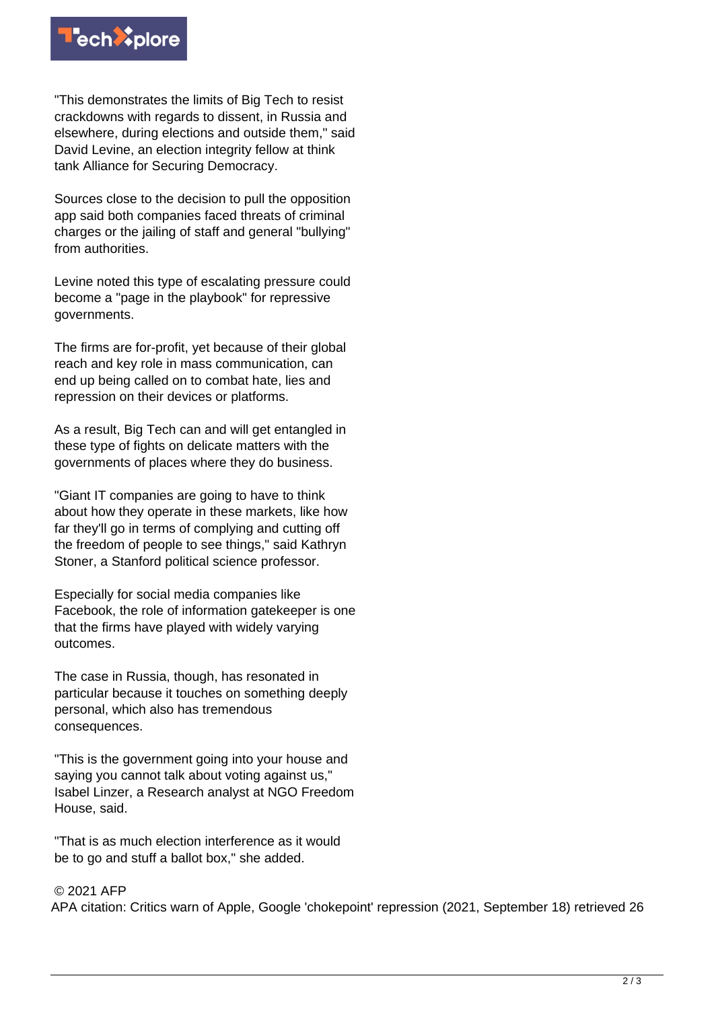

"This demonstrates the limits of Big Tech to resist crackdowns with regards to dissent, in Russia and elsewhere, during elections and outside them," said David Levine, an election integrity fellow at think tank Alliance for Securing Democracy.

Sources close to the decision to pull the opposition app said both companies faced threats of criminal charges or the jailing of staff and general "bullying" from authorities.

Levine noted this type of escalating pressure could become a "page in the playbook" for repressive governments.

The firms are for-profit, yet because of their global reach and key role in mass communication, can end up being called on to combat hate, lies and repression on their devices or platforms.

As a result. Big Tech can and will get entangled in these type of fights on delicate matters with the governments of places where they do business.

"Giant IT companies are going to have to think about how they operate in these markets, like how far they'll go in terms of complying and cutting off the freedom of people to see things," said Kathryn Stoner, a Stanford political science professor.

Especially for social media companies like Facebook, the role of information gatekeeper is one that the firms have played with widely varying outcomes.

The case in Russia, though, has resonated in particular because it touches on something deeply personal, which also has tremendous consequences.

"This is the government going into your house and saying you cannot talk about voting against us," Isabel Linzer, a Research analyst at NGO Freedom House, said.

"That is as much election interference as it would be to go and stuff a ballot box," she added.

## © 2021 AFP

APA citation: Critics warn of Apple, Google 'chokepoint' repression (2021, September 18) retrieved 26